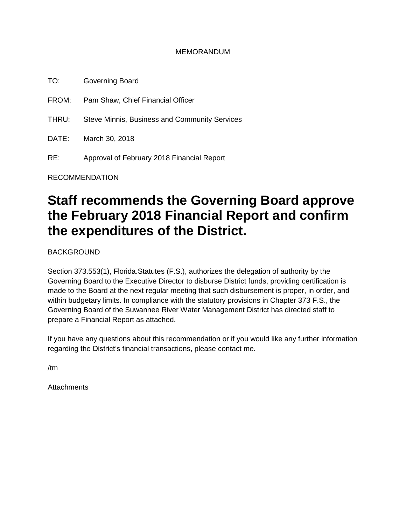#### MEMORANDUM

TO: Governing Board FROM: Pam Shaw, Chief Financial Officer THRU: Steve Minnis, Business and Community Services DATE: March 30, 2018 RE: Approval of February 2018 Financial Report

RECOMMENDATION

# **Staff recommends the Governing Board approve the February 2018 Financial Report and confirm the expenditures of the District.**

BACKGROUND

Section 373.553(1), Florida.Statutes (F.S.), authorizes the delegation of authority by the Governing Board to the Executive Director to disburse District funds, providing certification is made to the Board at the next regular meeting that such disbursement is proper, in order, and within budgetary limits. In compliance with the statutory provisions in Chapter 373 F.S., the Governing Board of the Suwannee River Water Management District has directed staff to prepare a Financial Report as attached.

If you have any questions about this recommendation or if you would like any further information regarding the District's financial transactions, please contact me.

/tm

**Attachments**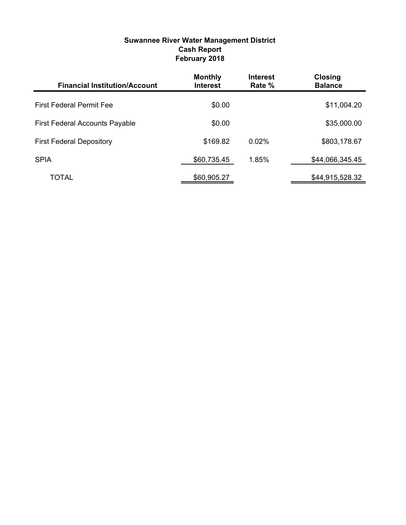#### **Suwannee River Water Management District Cash Report February 2018**

| <b>Financial Institution/Account</b>  | <b>Monthly</b><br><b>Interest</b> | <b>Interest</b><br>Rate % | <b>Closing</b><br><b>Balance</b> |
|---------------------------------------|-----------------------------------|---------------------------|----------------------------------|
| <b>First Federal Permit Fee</b>       | \$0.00                            |                           | \$11,004.20                      |
| <b>First Federal Accounts Payable</b> | \$0.00                            |                           | \$35,000.00                      |
| <b>First Federal Depository</b>       | \$169.82                          | 0.02%                     | \$803,178.67                     |
| <b>SPIA</b>                           | \$60,735.45                       | 1.85%                     | \$44,066,345.45                  |
| TOTAL                                 | \$60,905.27                       |                           | \$44,915,528.32                  |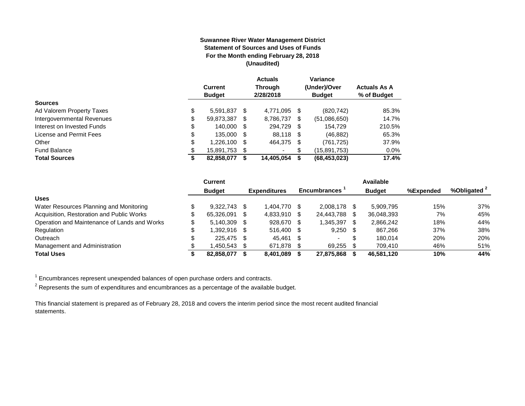#### **Suwannee River Water Management District Statement of Sources and Uses of Funds For the Month ending February 28, 2018 (Unaudited)**

|                            | <b>Current</b><br><b>Budget</b> |     | <b>Actuals</b><br><b>Through</b><br>2/28/2018 |     | Variance<br>(Under)/Over<br><b>Budget</b> | <b>Actuals As A</b><br>% of Budget |
|----------------------------|---------------------------------|-----|-----------------------------------------------|-----|-------------------------------------------|------------------------------------|
| <b>Sources</b>             |                                 |     |                                               |     |                                           |                                    |
| Ad Valorem Property Taxes  | \$<br>5.591.837                 | \$. | 4,771,095 \$                                  |     | (820, 742)                                | 85.3%                              |
| Intergovernmental Revenues | \$<br>59,873,387                | S   | 8,786,737                                     | \$. | (51,086,650)                              | 14.7%                              |
| Interest on Invested Funds | \$<br>140.000                   | \$. | 294.729 \$                                    |     | 154.729                                   | 210.5%                             |
| License and Permit Fees    | \$<br>135,000                   | S   | 88,118 \$                                     |     | (46, 882)                                 | 65.3%                              |
| Other                      | \$<br>1,226,100                 | S   | 464,375 \$                                    |     | (761, 725)                                | 37.9%                              |
| <b>Fund Balance</b>        | \$<br>15,891,753                | S   | ۰                                             | S   | (15,891,753)                              | $0.0\%$                            |
| <b>Total Sources</b>       | \$<br>82,858,077                |     | 14,405,054                                    | S   | (68, 453, 023)                            | 17.4%                              |

|                                              | <b>Current</b> |      |                     |      |                     |     | Available     |           |                         |
|----------------------------------------------|----------------|------|---------------------|------|---------------------|-----|---------------|-----------|-------------------------|
|                                              | <b>Budget</b>  |      | <b>Expenditures</b> |      | <b>Encumbrances</b> |     | <b>Budget</b> | %Expended | %Obligated <sup>2</sup> |
| <b>Uses</b>                                  |                |      |                     |      |                     |     |               |           |                         |
| Water Resources Planning and Monitoring      | $9.322.743$ \$ |      | 1.404.770           | - \$ | 2.008.178           |     | 5.909.795     | 15%       | 37%                     |
| Acquisition, Restoration and Public Works    | 65.326.091     | - \$ | 4,833,910           | - \$ | 24.443.788          | -S  | 36,048,393    | 7%        | 45%                     |
| Operation and Maintenance of Lands and Works | $5.140.309$ \$ |      | 928,670             | - \$ | 1.345.397           | \$. | 2,866,242     | 18%       | 44%                     |
| Regulation                                   | 1.392.916 \$   |      | 516.400 \$          |      | $9,250$ \$          |     | 867.266       | 37%       | 38%                     |
| Outreach                                     | 225.475 \$     |      | 45.461              | - S  | $\sim$              | S   | 180.014       | 20%       | 20%                     |
| Management and Administration                | 1.450.543 \$   |      | 671,878             |      | 69,255              |     | 709.410       | 46%       | 51%                     |
| <b>Total Uses</b>                            | 82.858.077     |      | 8.401.089           |      | 27,875,868          |     | 46,581,120    | 10%       | 44%                     |

 $1$  Encumbrances represent unexpended balances of open purchase orders and contracts.

 $^2$  Represents the sum of expenditures and encumbrances as a percentage of the available budget.

This financial statement is prepared as of February 28, 2018 and covers the interim period since the most recent audited financial statements.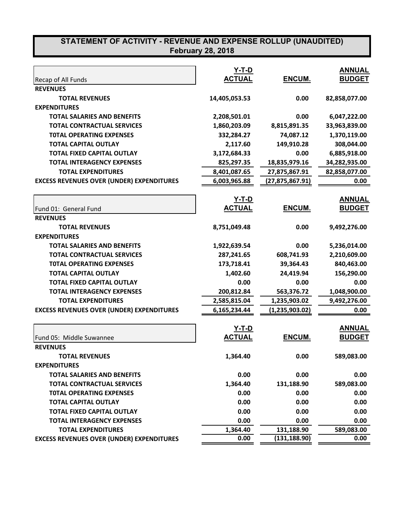|                                                  | $Y-T-D$       |                 | <b>ANNUAL</b> |
|--------------------------------------------------|---------------|-----------------|---------------|
| Recap of All Funds                               | <b>ACTUAL</b> | ENCUM.          | <b>BUDGET</b> |
| <b>REVENUES</b>                                  |               |                 |               |
| <b>TOTAL REVENUES</b>                            | 14,405,053.53 | 0.00            | 82,858,077.00 |
| <b>EXPENDITURES</b>                              |               |                 |               |
| <b>TOTAL SALARIES AND BENEFITS</b>               | 2,208,501.01  | 0.00            | 6,047,222.00  |
| <b>TOTAL CONTRACTUAL SERVICES</b>                | 1,860,203.09  | 8,815,891.35    | 33,963,839.00 |
| <b>TOTAL OPERATING EXPENSES</b>                  | 332,284.27    | 74,087.12       | 1,370,119.00  |
| <b>TOTAL CAPITAL OUTLAY</b>                      | 2,117.60      | 149,910.28      | 308,044.00    |
| <b>TOTAL FIXED CAPITAL OUTLAY</b>                | 3,172,684.33  | 0.00            | 6,885,918.00  |
| <b>TOTAL INTERAGENCY EXPENSES</b>                | 825,297.35    | 18,835,979.16   | 34,282,935.00 |
| <b>TOTAL EXPENDITURES</b>                        | 8,401,087.65  | 27,875,867.91   | 82,858,077.00 |
| <b>EXCESS REVENUES OVER (UNDER) EXPENDITURES</b> | 6,003,965.88  | (27,875,867.91) | 0.00          |
|                                                  | <u>Y-T-D</u>  |                 | <b>ANNUAL</b> |
| Fund 01: General Fund                            | <b>ACTUAL</b> | ENCUM.          | <b>BUDGET</b> |
| <b>REVENUES</b>                                  |               |                 |               |
| <b>TOTAL REVENUES</b>                            | 8,751,049.48  | 0.00            | 9,492,276.00  |
| <b>EXPENDITURES</b>                              |               |                 |               |
| <b>TOTAL SALARIES AND BENEFITS</b>               | 1,922,639.54  | 0.00            | 5,236,014.00  |
| <b>TOTAL CONTRACTUAL SERVICES</b>                | 287,241.65    | 608,741.93      | 2,210,609.00  |
| <b>TOTAL OPERATING EXPENSES</b>                  | 173,718.41    | 39,364.43       | 840,463.00    |
| <b>TOTAL CAPITAL OUTLAY</b>                      | 1,402.60      | 24,419.94       | 156,290.00    |
| <b>TOTAL FIXED CAPITAL OUTLAY</b>                | 0.00          | 0.00            | 0.00          |
| <b>TOTAL INTERAGENCY EXPENSES</b>                | 200,812.84    | 563,376.72      | 1,048,900.00  |
| <b>TOTAL EXPENDITURES</b>                        | 2,585,815.04  | 1,235,903.02    | 9,492,276.00  |
| <b>EXCESS REVENUES OVER (UNDER) EXPENDITURES</b> | 6,165,234.44  | (1,235,903.02)  | 0.00          |
|                                                  |               |                 |               |
|                                                  | Y-T-D         |                 | <b>ANNUAL</b> |
| Fund 05: Middle Suwannee                         | <b>ACTUAL</b> | ENCUM.          | <b>BUDGET</b> |
| <b>REVENUES</b>                                  |               |                 |               |
| <b>TOTAL REVENUES</b>                            | 1,364.40      | 0.00            | 589,083.00    |
| <b>EXPENDITURES</b>                              |               |                 |               |
| <b>TOTAL SALARIES AND BENEFITS</b>               | 0.00          | 0.00            | 0.00          |
| <b>TOTAL CONTRACTUAL SERVICES</b>                | 1,364.40      | 131,188.90      | 589,083.00    |
| <b>TOTAL OPERATING EXPENSES</b>                  | 0.00          | 0.00            | 0.00          |
| <b>TOTAL CAPITAL OUTLAY</b>                      | 0.00          | 0.00            | 0.00          |
| <b>TOTAL FIXED CAPITAL OUTLAY</b>                | 0.00          | 0.00            | 0.00          |
| <b>TOTAL INTERAGENCY EXPENSES</b>                | 0.00          | 0.00            | 0.00          |
| <b>TOTAL EXPENDITURES</b>                        | 1,364.40      | 131,188.90      | 589,083.00    |
| <b>EXCESS REVENUES OVER (UNDER) EXPENDITURES</b> | 0.00          | (131, 188.90)   | 0.00          |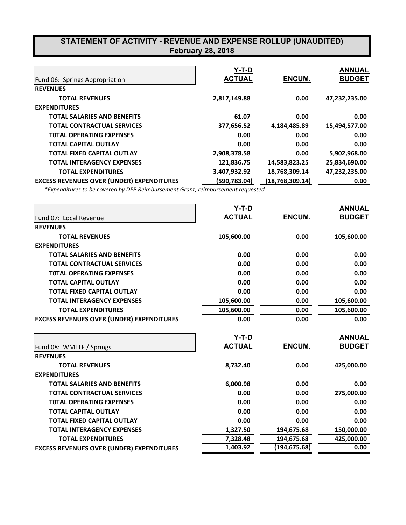|                                                  | Y-T-D         |                   | <b>ANNUAL</b> |
|--------------------------------------------------|---------------|-------------------|---------------|
| Fund 06: Springs Appropriation                   | <b>ACTUAL</b> | <b>ENCUM.</b>     | <b>BUDGET</b> |
| <b>REVENUES</b>                                  |               |                   |               |
| <b>TOTAL REVENUES</b>                            | 2,817,149.88  | 0.00              | 47,232,235.00 |
| <b>EXPENDITURES</b>                              |               |                   |               |
| <b>TOTAL SALARIES AND BENEFITS</b>               | 61.07         | 0.00              | 0.00          |
| <b>TOTAL CONTRACTUAL SERVICES</b>                | 377,656.52    | 4,184,485.89      | 15,494,577.00 |
| <b>TOTAL OPERATING EXPENSES</b>                  | 0.00          | 0.00              | 0.00          |
| <b>TOTAL CAPITAL OUTLAY</b>                      | 0.00          | 0.00              | 0.00          |
| <b>TOTAL FIXED CAPITAL OUTLAY</b>                | 2,908,378.58  | 0.00              | 5,902,968.00  |
| <b>TOTAL INTERAGENCY EXPENSES</b>                | 121,836.75    | 14,583,823.25     | 25,834,690.00 |
| <b>TOTAL EXPENDITURES</b>                        | 3,407,932.92  | 18,768,309.14     | 47,232,235.00 |
| <b>EXCESS REVENUES OVER (UNDER) EXPENDITURES</b> | (590,783.04)  | (18, 768, 309.14) | 0.00          |

*\*Expenditures to be covered by DEP Reimbursement Grant; reimbursement requested*

|                                                  | Y-T-D         |               | <b>ANNUAL</b> |
|--------------------------------------------------|---------------|---------------|---------------|
| Fund 07: Local Revenue                           | <b>ACTUAL</b> | <b>ENCUM.</b> | <b>BUDGET</b> |
| <b>REVENUES</b>                                  |               |               |               |
| <b>TOTAL REVENUES</b>                            | 105,600.00    | 0.00          | 105,600.00    |
| <b>EXPENDITURES</b>                              |               |               |               |
| <b>TOTAL SALARIES AND BENEFITS</b>               | 0.00          | 0.00          | 0.00          |
| <b>TOTAL CONTRACTUAL SERVICES</b>                | 0.00          | 0.00          | 0.00          |
| <b>TOTAL OPERATING EXPENSES</b>                  | 0.00          | 0.00          | 0.00          |
| <b>TOTAL CAPITAL OUTLAY</b>                      | 0.00          | 0.00          | 0.00          |
| <b>TOTAL FIXED CAPITAL OUTLAY</b>                | 0.00          | 0.00          | 0.00          |
| <b>TOTAL INTERAGENCY EXPENSES</b>                | 105,600.00    | 0.00          | 105,600.00    |
| <b>TOTAL EXPENDITURES</b>                        | 105,600.00    | 0.00          | 105,600.00    |
| <b>EXCESS REVENUES OVER (UNDER) EXPENDITURES</b> | 0.00          | 0.00          | 0.00          |
|                                                  | Y-T-D         |               | <b>ANNUAL</b> |
| Fund 08: WMLTF / Springs                         | <b>ACTUAL</b> | ENCUM.        | <b>BUDGET</b> |
| <b>REVENUES</b>                                  |               |               |               |
| <b>TOTAL REVENUES</b>                            | 8,732.40      | 0.00          | 425,000.00    |
| <b>EXPENDITURES</b>                              |               |               |               |
| <b>TOTAL SALARIES AND BENEFITS</b>               | 6,000.98      | 0.00          | 0.00          |
| <b>TOTAL CONTRACTUAL SERVICES</b>                | 0.00          | 0.00          | 275,000.00    |
| <b>TOTAL OPERATING EXPENSES</b>                  | 0.00          | 0.00          | 0.00          |
| <b>TOTAL CAPITAL OUTLAY</b>                      | 0.00          | 0.00          | 0.00          |
| <b>TOTAL FIXED CAPITAL OUTLAY</b>                | 0.00          | 0.00          | 0.00          |
| <b>TOTAL INTERAGENCY EXPENSES</b>                | 1,327.50      | 194,675.68    | 150,000.00    |
| <b>TOTAL EXPENDITURES</b>                        | 7,328.48      | 194,675.68    | 425,000.00    |
| <b>EXCESS REVENUES OVER (UNDER) EXPENDITURES</b> | 1,403.92      | (194, 675.68) | 0.00          |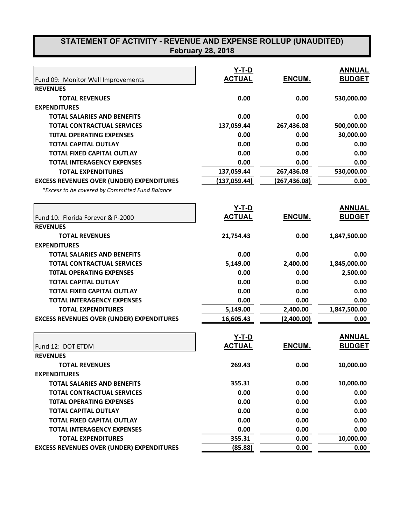|                                                  | $Y-T-D$       |              | <b>ANNUAL</b> |
|--------------------------------------------------|---------------|--------------|---------------|
| Fund 09: Monitor Well Improvements               | <b>ACTUAL</b> | ENCUM.       | <b>BUDGET</b> |
| <b>REVENUES</b>                                  |               |              |               |
| <b>TOTAL REVENUES</b>                            | 0.00          | 0.00         | 530,000.00    |
| <b>EXPENDITURES</b>                              |               |              |               |
| <b>TOTAL SALARIES AND BENEFITS</b>               | 0.00          | 0.00         | 0.00          |
| <b>TOTAL CONTRACTUAL SERVICES</b>                | 137,059.44    | 267,436.08   | 500,000.00    |
| <b>TOTAL OPERATING EXPENSES</b>                  | 0.00          | 0.00         | 30,000.00     |
| <b>TOTAL CAPITAL OUTLAY</b>                      | 0.00          | 0.00         | 0.00          |
| <b>TOTAL FIXED CAPITAL OUTLAY</b>                | 0.00          | 0.00         | 0.00          |
| <b>TOTAL INTERAGENCY EXPENSES</b>                | 0.00          | 0.00         | 0.00          |
| <b>TOTAL EXPENDITURES</b>                        | 137,059.44    | 267,436.08   | 530,000.00    |
| <b>EXCESS REVENUES OVER (UNDER) EXPENDITURES</b> | (137, 059.44) | (267,436.08) | 0.00          |
| *Excess to be covered by Committed Fund Balance  |               |              |               |
|                                                  | <u>Y-T-D</u>  |              | <b>ANNUAL</b> |
| Fund 10: Florida Forever & P-2000                | <b>ACTUAL</b> | ENCUM.       | <b>BUDGET</b> |
| <b>REVENUES</b>                                  |               |              |               |
| <b>TOTAL REVENUES</b>                            | 21,754.43     | 0.00         | 1,847,500.00  |
| <b>EXPENDITURES</b>                              |               |              |               |
| <b>TOTAL SALARIES AND BENEFITS</b>               | 0.00          | 0.00         | 0.00          |
| <b>TOTAL CONTRACTUAL SERVICES</b>                | 5,149.00      | 2,400.00     | 1,845,000.00  |
| <b>TOTAL OPERATING EXPENSES</b>                  | 0.00          | 0.00         | 2,500.00      |
| <b>TOTAL CAPITAL OUTLAY</b>                      | 0.00          | 0.00         | 0.00          |
| <b>TOTAL FIXED CAPITAL OUTLAY</b>                | 0.00          | 0.00         | 0.00          |
| <b>TOTAL INTERAGENCY EXPENSES</b>                | 0.00          | 0.00         | 0.00          |
| <b>TOTAL EXPENDITURES</b>                        | 5,149.00      | 2,400.00     | 1,847,500.00  |
| <b>EXCESS REVENUES OVER (UNDER) EXPENDITURES</b> | 16,605.43     | (2,400.00)   | 0.00          |
|                                                  | Y-T-D         |              | <b>ANNUAL</b> |
|                                                  | <b>ACTUAL</b> | ENCUM.       | <b>BUDGET</b> |
| Fund 12: DOT ETDM                                |               |              |               |
| <b>REVENUES</b>                                  | 269.43        |              |               |
| <b>TOTAL REVENUES</b>                            |               | 0.00         | 10,000.00     |
| <b>EXPENDITURES</b>                              |               |              |               |
| <b>TOTAL SALARIES AND BENEFITS</b>               | 355.31        | 0.00         | 10,000.00     |
| <b>TOTAL CONTRACTUAL SERVICES</b>                | 0.00          | 0.00         | 0.00          |
| <b>TOTAL OPERATING EXPENSES</b>                  | 0.00          | 0.00         | 0.00          |
| <b>TOTAL CAPITAL OUTLAY</b>                      | 0.00          | 0.00         | 0.00          |
| <b>TOTAL FIXED CAPITAL OUTLAY</b>                | 0.00          | 0.00         | 0.00          |
| <b>TOTAL INTERAGENCY EXPENSES</b>                | 0.00          | 0.00         | 0.00          |
| <b>TOTAL EXPENDITURES</b>                        | 355.31        | 0.00         | 10,000.00     |
| <b>EXCESS REVENUES OVER (UNDER) EXPENDITURES</b> | (85.88)       | 0.00         | 0.00          |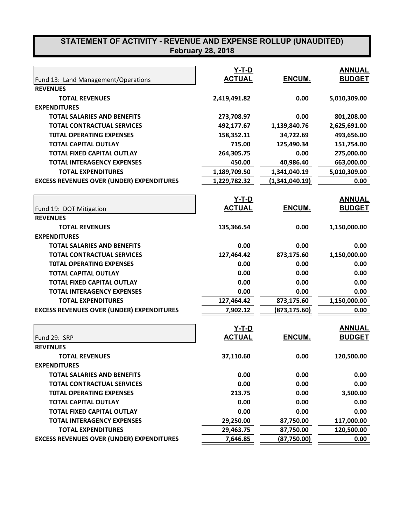|                                                  | $Y-T-D$       |                | <b>ANNUAL</b> |
|--------------------------------------------------|---------------|----------------|---------------|
| Fund 13: Land Management/Operations              | <b>ACTUAL</b> | ENCUM.         | <b>BUDGET</b> |
| <b>REVENUES</b>                                  |               |                |               |
| <b>TOTAL REVENUES</b>                            | 2,419,491.82  | 0.00           | 5,010,309.00  |
| <b>EXPENDITURES</b>                              |               |                |               |
| <b>TOTAL SALARIES AND BENEFITS</b>               | 273,708.97    | 0.00           | 801,208.00    |
| <b>TOTAL CONTRACTUAL SERVICES</b>                | 492,177.67    | 1,139,840.76   | 2,625,691.00  |
| <b>TOTAL OPERATING EXPENSES</b>                  | 158,352.11    | 34,722.69      | 493,656.00    |
| <b>TOTAL CAPITAL OUTLAY</b>                      | 715.00        | 125,490.34     | 151,754.00    |
| <b>TOTAL FIXED CAPITAL OUTLAY</b>                | 264,305.75    | 0.00           | 275,000.00    |
| <b>TOTAL INTERAGENCY EXPENSES</b>                | 450.00        | 40,986.40      | 663,000.00    |
| <b>TOTAL EXPENDITURES</b>                        | 1,189,709.50  | 1,341,040.19   | 5,010,309.00  |
| <b>EXCESS REVENUES OVER (UNDER) EXPENDITURES</b> | 1,229,782.32  | (1,341,040.19) | 0.00          |
|                                                  | $Y-T-D$       |                | <b>ANNUAL</b> |
| Fund 19: DOT Mitigation                          | <b>ACTUAL</b> | ENCUM.         | <b>BUDGET</b> |
| <b>REVENUES</b>                                  |               |                |               |
| <b>TOTAL REVENUES</b>                            | 135,366.54    | 0.00           | 1,150,000.00  |
| <b>EXPENDITURES</b>                              |               |                |               |
| <b>TOTAL SALARIES AND BENEFITS</b>               | 0.00          | 0.00           | 0.00          |
| <b>TOTAL CONTRACTUAL SERVICES</b>                | 127,464.42    | 873,175.60     | 1,150,000.00  |
| <b>TOTAL OPERATING EXPENSES</b>                  | 0.00          | 0.00           | 0.00          |
| <b>TOTAL CAPITAL OUTLAY</b>                      | 0.00          | 0.00           | 0.00          |
| <b>TOTAL FIXED CAPITAL OUTLAY</b>                | 0.00          | 0.00           | 0.00          |
| <b>TOTAL INTERAGENCY EXPENSES</b>                | 0.00          | 0.00           | 0.00          |
| <b>TOTAL EXPENDITURES</b>                        | 127,464.42    | 873,175.60     | 1,150,000.00  |
| <b>EXCESS REVENUES OVER (UNDER) EXPENDITURES</b> | 7,902.12      | (873, 175.60)  | 0.00          |
|                                                  |               |                |               |
|                                                  | $Y-T-D$       |                | <b>ANNUAL</b> |
| Fund 29: SRP                                     | <b>ACTUAL</b> | ENCUM.         | <b>BUDGET</b> |
| <b>REVENUES</b>                                  |               |                |               |
| <b>TOTAL REVENUES</b>                            | 37,110.60     | 0.00           | 120,500.00    |
| <b>EXPENDITURES</b>                              |               |                |               |
| <b>TOTAL SALARIES AND BENEFITS</b>               | 0.00          | 0.00           | 0.00          |
| <b>TOTAL CONTRACTUAL SERVICES</b>                | 0.00          | 0.00           | 0.00          |
| <b>TOTAL OPERATING EXPENSES</b>                  | 213.75        | 0.00           | 3,500.00      |
| <b>TOTAL CAPITAL OUTLAY</b>                      | 0.00          | 0.00           | 0.00          |
| <b>TOTAL FIXED CAPITAL OUTLAY</b>                | 0.00          | 0.00           | 0.00          |
| <b>TOTAL INTERAGENCY EXPENSES</b>                | 29,250.00     | 87,750.00      | 117,000.00    |
| <b>TOTAL EXPENDITURES</b>                        | 29,463.75     | 87,750.00      | 120,500.00    |
| <b>EXCESS REVENUES OVER (UNDER) EXPENDITURES</b> | 7,646.85      | (87, 750.00)   | 0.00          |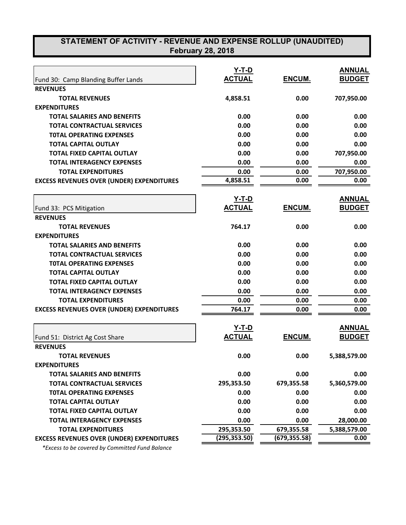| Fund 30: Camp Blanding Buffer Lands              | Y-T-D<br><b>ACTUAL</b> | ENCUM.        | <b>ANNUAL</b><br><b>BUDGET</b> |
|--------------------------------------------------|------------------------|---------------|--------------------------------|
| <b>REVENUES</b>                                  |                        |               |                                |
| <b>TOTAL REVENUES</b>                            | 4,858.51               | 0.00          | 707,950.00                     |
| <b>EXPENDITURES</b>                              |                        |               |                                |
| <b>TOTAL SALARIES AND BENEFITS</b>               | 0.00                   | 0.00          | 0.00                           |
| <b>TOTAL CONTRACTUAL SERVICES</b>                | 0.00                   | 0.00          | 0.00                           |
| <b>TOTAL OPERATING EXPENSES</b>                  | 0.00                   | 0.00          | 0.00                           |
| <b>TOTAL CAPITAL OUTLAY</b>                      | 0.00                   | 0.00          | 0.00                           |
| <b>TOTAL FIXED CAPITAL OUTLAY</b>                | 0.00                   | 0.00          | 707,950.00                     |
| <b>TOTAL INTERAGENCY EXPENSES</b>                | 0.00                   | 0.00          | 0.00                           |
| <b>TOTAL EXPENDITURES</b>                        | 0.00                   | 0.00          | 707,950.00                     |
| <b>EXCESS REVENUES OVER (UNDER) EXPENDITURES</b> | 4,858.51               | 0.00          | 0.00                           |
|                                                  |                        |               |                                |
|                                                  | <u>Y-T-D</u>           |               | <b>ANNUAL</b>                  |
| Fund 33: PCS Mitigation                          | <b>ACTUAL</b>          | ENCUM.        | <b>BUDGET</b>                  |
| <b>REVENUES</b>                                  |                        |               |                                |
| <b>TOTAL REVENUES</b>                            | 764.17                 | 0.00          | 0.00                           |
| <b>EXPENDITURES</b>                              |                        |               |                                |
| <b>TOTAL SALARIES AND BENEFITS</b>               | 0.00                   | 0.00          | 0.00                           |
| <b>TOTAL CONTRACTUAL SERVICES</b>                | 0.00                   | 0.00          | 0.00                           |
| <b>TOTAL OPERATING EXPENSES</b>                  | 0.00                   | 0.00          | 0.00                           |
| <b>TOTAL CAPITAL OUTLAY</b>                      | 0.00                   | 0.00          | 0.00                           |
| TOTAL FIXED CAPITAL OUTLAY                       | 0.00                   | 0.00          | 0.00                           |
| <b>TOTAL INTERAGENCY EXPENSES</b>                | 0.00                   | 0.00          | 0.00                           |
| <b>TOTAL EXPENDITURES</b>                        | 0.00                   | 0.00          | 0.00                           |
| <b>EXCESS REVENUES OVER (UNDER) EXPENDITURES</b> | 764.17                 | 0.00          | 0.00                           |
|                                                  |                        |               |                                |
|                                                  | <u>Y-T-D</u>           |               | <b>ANNUAL</b>                  |
| Fund 51: District Ag Cost Share                  | <b>ACTUAL</b>          | ENCUM.        | <b>BUDGET</b>                  |
| <b>REVENUES</b>                                  |                        |               |                                |
| <b>TOTAL REVENUES</b>                            | 0.00                   | 0.00          | 5,388,579.00                   |
| <b>EXPENDITURES</b>                              |                        |               |                                |
| <b>TOTAL SALARIES AND BENEFITS</b>               | 0.00                   | 0.00          | 0.00                           |
| <b>TOTAL CONTRACTUAL SERVICES</b>                | 295,353.50             | 679,355.58    | 5,360,579.00                   |
| <b>TOTAL OPERATING EXPENSES</b>                  | 0.00                   | 0.00          | 0.00                           |
| <b>TOTAL CAPITAL OUTLAY</b>                      | 0.00                   | 0.00          | 0.00                           |
| <b>TOTAL FIXED CAPITAL OUTLAY</b>                | 0.00                   | 0.00          | 0.00                           |
| <b>TOTAL INTERAGENCY EXPENSES</b>                | 0.00                   | 0.00          | 28,000.00                      |
| <b>TOTAL EXPENDITURES</b>                        | 295,353.50             | 679,355.58    | 5,388,579.00                   |
| <b>EXCESS REVENUES OVER (UNDER) EXPENDITURES</b> | (295, 353.50)          | (679, 355.58) | 0.00                           |

 *\*Excess to be covered by Committed Fund Balance*